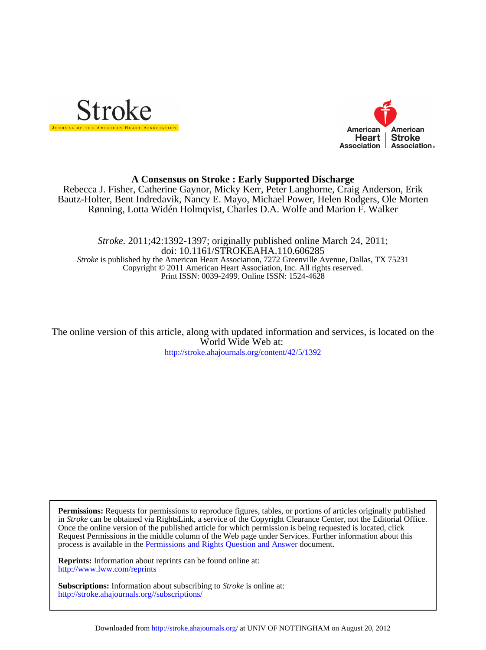



# **A Consensus on Stroke : Early Supported Discharge**

Rønning, Lotta Widén Holmqvist, Charles D.A. Wolfe and Marion F. Walker Bautz-Holter, Bent Indredavik, Nancy E. Mayo, Michael Power, Helen Rodgers, Ole Morten Rebecca J. Fisher, Catherine Gaynor, Micky Kerr, Peter Langhorne, Craig Anderson, Erik

Print ISSN: 0039-2499. Online ISSN: 1524-4628 Copyright © 2011 American Heart Association, Inc. All rights reserved. *Stroke* is published by the American Heart Association, 7272 Greenville Avenue, Dallas, TX 75231 doi: 10.1161/STROKEAHA.110.606285 *Stroke.* 2011;42:1392-1397; originally published online March 24, 2011;

<http://stroke.ahajournals.org/content/42/5/1392> World Wide Web at: The online version of this article, along with updated information and services, is located on the

process is available in the [Permissions and Rights Question and Answer d](http://www.ahajournals.org/site/rights/)ocument. Request Permissions in the middle column of the Web page under Services. Further information about this Once the online version of the published article for which permission is being requested is located, click in *Stroke* can be obtained via RightsLink, a service of the Copyright Clearance Center, not the Editorial Office. **Permissions:** Requests for permissions to reproduce figures, tables, or portions of articles originally published

<http://www.lww.com/reprints> **Reprints:** Information about reprints can be found online at:

<http://stroke.ahajournals.org//subscriptions/> **Subscriptions:** Information about subscribing to *Stroke* is online at: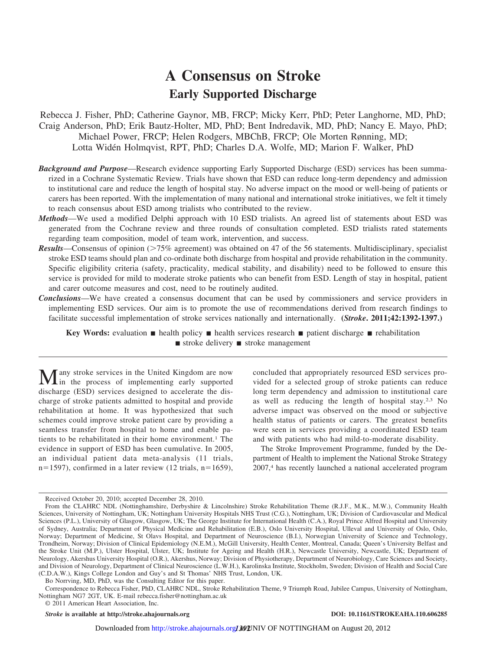# **A Consensus on Stroke Early Supported Discharge**

Rebecca J. Fisher, PhD; Catherine Gaynor, MB, FRCP; Micky Kerr, PhD; Peter Langhorne, MD, PhD; Craig Anderson, PhD; Erik Bautz-Holter, MD, PhD; Bent Indredavik, MD, PhD; Nancy E. Mayo, PhD; Michael Power, FRCP; Helen Rodgers, MBChB, FRCP; Ole Morten Rønning, MD; Lotta Widén Holmqvist, RPT, PhD; Charles D.A. Wolfe, MD; Marion F. Walker, PhD

- *Background and Purpose*—Research evidence supporting Early Supported Discharge (ESD) services has been summarized in a Cochrane Systematic Review. Trials have shown that ESD can reduce long-term dependency and admission to institutional care and reduce the length of hospital stay. No adverse impact on the mood or well-being of patients or carers has been reported. With the implementation of many national and international stroke initiatives, we felt it timely to reach consensus about ESD among trialists who contributed to the review.
- *Methods*—We used a modified Delphi approach with 10 ESD trialists. An agreed list of statements about ESD was generated from the Cochrane review and three rounds of consultation completed. ESD trialists rated statements regarding team composition, model of team work, intervention, and success.
- *Results*—Consensus of opinion (75% agreement) was obtained on 47 of the 56 statements. Multidisciplinary, specialist stroke ESD teams should plan and co-ordinate both discharge from hospital and provide rehabilitation in the community. Specific eligibility criteria (safety, practicality, medical stability, and disability) need to be followed to ensure this service is provided for mild to moderate stroke patients who can benefit from ESD. Length of stay in hospital, patient and carer outcome measures and cost, need to be routinely audited.
- *Conclusions*—We have created a consensus document that can be used by commissioners and service providers in implementing ESD services. Our aim is to promote the use of recommendations derived from research findings to facilitate successful implementation of stroke services nationally and internationally. **(***Stroke***. 2011;42:1392-1397.)**

**Key Words:** evaluation  $\blacksquare$  health policy  $\blacksquare$  health services research  $\blacksquare$  patient discharge  $\blacksquare$  rehabilitation  $\blacksquare$  stroke delivery  $\blacksquare$  stroke management

**Many** stroke services in the United Kingdom are now in the process of implementing early supported discharge (ESD) services designed to accelerate the discharge of stroke patients admitted to hospital and provide rehabilitation at home. It was hypothesized that such schemes could improve stroke patient care by providing a seamless transfer from hospital to home and enable patients to be rehabilitated in their home environment.<sup>1</sup> The evidence in support of ESD has been cumulative. In 2005, an individual patient data meta-analysis (11 trials,  $n=1597$ , confirmed in a later review (12 trials,  $n=1659$ ),

concluded that appropriately resourced ESD services provided for a selected group of stroke patients can reduce long term dependency and admission to institutional care as well as reducing the length of hospital stay.2,3 No adverse impact was observed on the mood or subjective health status of patients or carers. The greatest benefits were seen in services providing a coordinated ESD team and with patients who had mild-to-moderate disability.

The Stroke Improvement Programme, funded by the Department of Health to implement the National Stroke Strategy 2007,4 has recently launched a national accelerated program

Bo Norrving, MD, PhD, was the Consulting Editor for this paper.

Correspondence to Rebecca Fisher, PhD, CLAHRC NDL, Stroke Rehabilitation Theme, 9 Triumph Road, Jubilee Campus, University of Nottingham, Nottingham NG7 2GT, UK. E-mail rebecca.fisher@nottingham.ac.uk

© 2011 American Heart Association, Inc.

*Stroke* **is available at http://stroke.ahajournals.org DOI: 10.1161/STROKEAHA.110.606285**

Received October 20, 2010; accepted December 28, 2010.

From the CLAHRC NDL (Nottinghamshire, Derbyshire & Lincolnshire) Stroke Rehabilitation Theme (R.J.F., M.K., M.W.), Community Health Sciences, University of Nottingham, UK; Nottingham University Hospitals NHS Trust (C.G.), Nottingham, UK; Division of Cardiovascular and Medical Sciences (P.L.), University of Glasgow, Glasgow, UK; The George Institute for International Health (C.A.), Royal Prince Alfred Hospital and University of Sydney, Australia; Department of Physical Medicine and Rehabilitation (E.B.), Oslo University Hospital, Ulleval and University of Oslo, Oslo, Norway; Department of Medicine, St Olavs Hospital, and Department of Neuroscience (B.I.), Norwegian University of Science and Technology, Trondheim, Norway; Division of Clinical Epidemiology (N.E.M.), McGill University, Health Center, Montreal, Canada; Queen's University Belfast and the Stroke Unit (M.P.), Ulster Hospital, Ulster, UK; Institute for Ageing and Health (H.R.), Newcastle University, Newcastle, UK; Department of Neurology, Akershus University Hospital (O.R.), Akershus, Norway; Division of Physiotherapy, Department of Neurobiology, Care Sciences and Society, and Division of Neurology, Department of Clinical Neuroscience (L.W.H.), Karolinska Institute, Stockholm, Sweden; Division of Health and Social Care (C.D.A.W.), Kings College London and Guy's and St Thomas' NHS Trust, London, UK.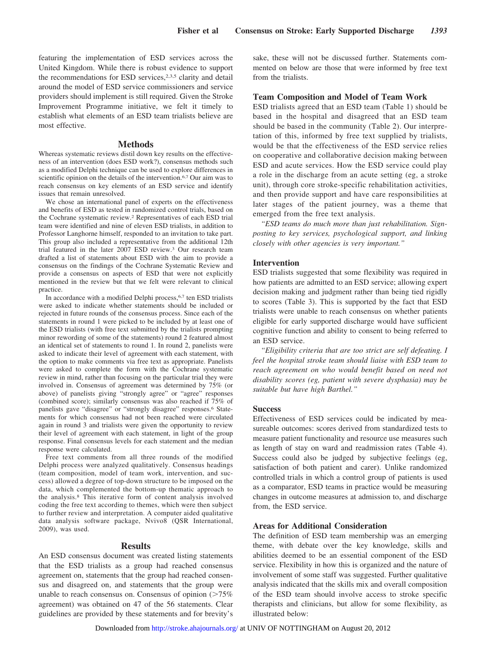featuring the implementation of ESD services across the United Kingdom. While there is robust evidence to support the recommendations for ESD services,<sup>2,3,5</sup> clarity and detail around the model of ESD service commissioners and service providers should implement is still required. Given the Stroke Improvement Programme initiative, we felt it timely to establish what elements of an ESD team trialists believe are most effective.

#### **Methods**

Whereas systematic reviews distil down key results on the effectiveness of an intervention (does ESD work?), consensus methods such as a modified Delphi technique can be used to explore differences in scientific opinion on the details of the intervention.<sup>6,7</sup> Our aim was to reach consensus on key elements of an ESD service and identify issues that remain unresolved.

We chose an international panel of experts on the effectiveness and benefits of ESD as tested in randomized control trials, based on the Cochrane systematic review.2 Representatives of each ESD trial team were identified and nine of eleven ESD trialists, in addition to Professor Langhorne himself, responded to an invitation to take part. This group also included a representative from the additional 12th trial featured in the later 2007 ESD review.3 Our research team drafted a list of statements about ESD with the aim to provide a consensus on the findings of the Cochrane Systematic Review and provide a consensus on aspects of ESD that were not explicitly mentioned in the review but that we felt were relevant to clinical practice.

In accordance with a modified Delphi process,6,7 ten ESD trialists were asked to indicate whether statements should be included or rejected in future rounds of the consensus process. Since each of the statements in round 1 were picked to be included by at least one of the ESD trialists (with free text submitted by the trialists prompting minor rewording of some of the statements) round 2 featured almost an identical set of statements to round 1. In round 2, panelists were asked to indicate their level of agreement with each statement, with the option to make comments via free text as appropriate. Panelists were asked to complete the form with the Cochrane systematic review in mind, rather than focusing on the particular trial they were involved in. Consensus of agreement was determined by 75% (or above) of panelists giving "strongly agree" or "agree" responses (combined score); similarly consensus was also reached if 75% of panelists gave "disagree" or "strongly disagree" responses.6 Statements for which consensus had not been reached were circulated again in round 3 and trialists were given the opportunity to review their level of agreement with each statement, in light of the group response. Final consensus levels for each statement and the median response were calculated.

Free text comments from all three rounds of the modified Delphi process were analyzed qualitatively. Consensus headings (team composition, model of team work, intervention, and success) allowed a degree of top-down structure to be imposed on the data, which complemented the bottom-up thematic approach to the analysis.8 This iterative form of content analysis involved coding the free text according to themes, which were then subject to further review and interpretation. A computer aided qualitative data analysis software package, Nvivo8 (QSR International, 2009), was used.

### **Results**

An ESD consensus document was created listing statements that the ESD trialists as a group had reached consensus agreement on, statements that the group had reached consensus and disagreed on, and statements that the group were unable to reach consensus on. Consensus of opinion  $(>=75\%$ agreement) was obtained on 47 of the 56 statements. Clear guidelines are provided by these statements and for brevity's

sake, these will not be discussed further. Statements commented on below are those that were informed by free text from the trialists.

#### **Team Composition and Model of Team Work**

ESD trialists agreed that an ESD team (Table 1) should be based in the hospital and disagreed that an ESD team should be based in the community (Table 2). Our interpretation of this, informed by free text supplied by trialists, would be that the effectiveness of the ESD service relies on cooperative and collaborative decision making between ESD and acute services. How the ESD service could play a role in the discharge from an acute setting (eg, a stroke unit), through core stroke-specific rehabilitation activities, and then provide support and have care responsibilities at later stages of the patient journey, was a theme that emerged from the free text analysis.

*"ESD teams do much more than just rehabilitation. Signposting to key services, psychological support, and linking closely with other agencies is very important."*

#### **Intervention**

ESD trialists suggested that some flexibility was required in how patients are admitted to an ESD service; allowing expert decision making and judgment rather than being tied rigidly to scores (Table 3). This is supported by the fact that ESD trialists were unable to reach consensus on whether patients eligible for early supported discharge would have sufficient cognitive function and ability to consent to being referred to an ESD service.

*"Eligibility criteria that are too strict are self defeating. I feel the hospital stroke team should liaise with ESD team to reach agreement on who would benefit based on need not disability scores (eg, patient with severe dysphasia) may be suitable but have high Barthel."*

#### **Success**

Effectiveness of ESD services could be indicated by measureable outcomes: scores derived from standardized tests to measure patient functionality and resource use measures such as length of stay on ward and readmission rates (Table 4). Success could also be judged by subjective feelings (eg, satisfaction of both patient and carer). Unlike randomized controlled trials in which a control group of patients is used as a comparator, ESD teams in practice would be measuring changes in outcome measures at admission to, and discharge from, the ESD service.

#### **Areas for Additional Consideration**

The definition of ESD team membership was an emerging theme, with debate over the key knowledge, skills and abilities deemed to be an essential component of the ESD service. Flexibility in how this is organized and the nature of involvement of some staff was suggested. Further qualitative analysis indicated that the skills mix and overall composition of the ESD team should involve access to stroke specific therapists and clinicians, but allow for some flexibility, as illustrated below: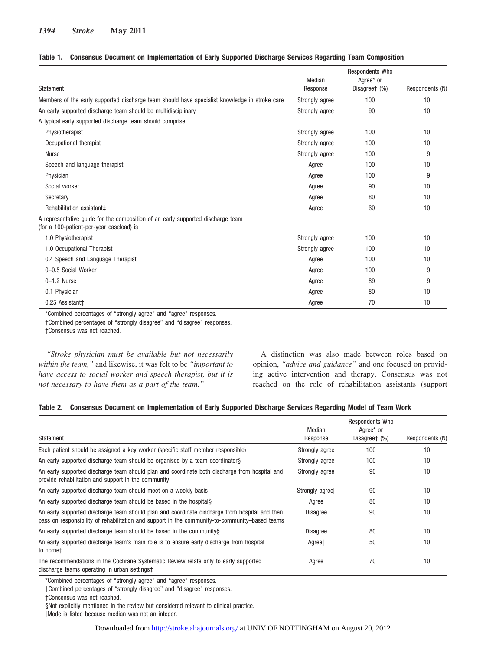### **Table 1. Consensus Document on Implementation of Early Supported Discharge Services Regarding Team Composition**

|                                                                                                                             | Median         | Respondents Who<br>Agree* or |                 |
|-----------------------------------------------------------------------------------------------------------------------------|----------------|------------------------------|-----------------|
| <b>Statement</b>                                                                                                            | Response       | Disagreet (%)                | Respondents (N) |
| Members of the early supported discharge team should have specialist knowledge in stroke care                               | Strongly agree | 100                          | 10              |
| An early supported discharge team should be multidisciplinary                                                               | Strongly agree | 90                           | 10              |
| A typical early supported discharge team should comprise                                                                    |                |                              |                 |
| Physiotherapist                                                                                                             | Strongly agree | 100                          | 10              |
| Occupational therapist                                                                                                      | Strongly agree | 100                          | 10              |
| Nurse                                                                                                                       | Strongly agree | 100                          | 9               |
| Speech and language therapist                                                                                               | Agree          | 100                          | 10              |
| Physician                                                                                                                   | Agree          | 100                          | 9               |
| Social worker                                                                                                               | Agree          | 90                           | 10              |
| Secretary                                                                                                                   | Agree          | 80                           | 10              |
| Rehabilitation assistant‡                                                                                                   | Agree          | 60                           | 10              |
| A representative quide for the composition of an early supported discharge team<br>(for a 100-patient-per-year caseload) is |                |                              |                 |
| 1.0 Physiotherapist                                                                                                         | Strongly agree | 100                          | 10              |
| 1.0 Occupational Therapist                                                                                                  | Strongly agree | 100                          | 10              |
| 0.4 Speech and Language Therapist                                                                                           | Agree          | 100                          | 10              |
| 0-0.5 Social Worker                                                                                                         | Agree          | 100                          | 9               |
| $0-1.2$ Nurse                                                                                                               | Agree          | 89                           | 9               |
| 0.1 Physician                                                                                                               | Agree          | 80                           | 10              |
| 0.25 Assistant‡                                                                                                             | Agree          | 70                           | 10              |

\*Combined percentages of "strongly agree" and "agree" responses.

†Combined percentages of "strongly disagree" and "disagree" responses.

‡Consensus was not reached.

*"Stroke physician must be available but not necessarily within the team,"* and likewise, it was felt to be *"important to have access to social worker and speech therapist, but it is not necessary to have them as a part of the team."*

A distinction was also made between roles based on opinion, *"advice and guidance"* and one focused on providing active intervention and therapy. Consensus was not reached on the role of rehabilitation assistants (support

#### **Table 2. Consensus Document on Implementation of Early Supported Discharge Services Regarding Model of Team Work**

|                                                                                                                                                                                                 | Median          | Respondents Who<br>Agree* or |                 |
|-------------------------------------------------------------------------------------------------------------------------------------------------------------------------------------------------|-----------------|------------------------------|-----------------|
| Statement                                                                                                                                                                                       | Response        | Disagreet (%)                | Respondents (N) |
| Each patient should be assigned a key worker (specific staff member responsible)                                                                                                                | Strongly agree  | 100                          | 10              |
| An early supported discharge team should be organised by a team coordinators                                                                                                                    | Strongly agree  | 100                          | 10              |
| An early supported discharge team should plan and coordinate both discharge from hospital and<br>provide rehabilitation and support in the community                                            | Strongly agree  | 90                           | 10              |
| An early supported discharge team should meet on a weekly basis                                                                                                                                 | Strongly agree  | 90                           | 10              |
| An early supported discharge team should be based in the hospitals                                                                                                                              | Agree           | 80                           | 10              |
| An early supported discharge team should plan and coordinate discharge from hospital and then<br>pass on responsibility of rehabilitation and support in the community-to-community-based teams | <b>Disagree</b> | 90                           | 10              |
| An early supported discharge team should be based in the community.                                                                                                                             | <b>Disagree</b> | 80                           | 10              |
| An early supported discharge team's main role is to ensure early discharge from hospital<br>to home#                                                                                            | Agreell         | 50                           | 10              |
| The recommendations in the Cochrane Systematic Review relate only to early supported<br>discharge teams operating in urban settings#                                                            | Agree           | 70                           | 10              |

\*Combined percentages of "strongly agree" and "agree" responses.

†Combined percentages of "strongly disagree" and "disagree" responses.

‡Consensus was not reached.

§Not explicitly mentioned in the review but considered relevant to clinical practice.

-Mode is listed because median was not an integer.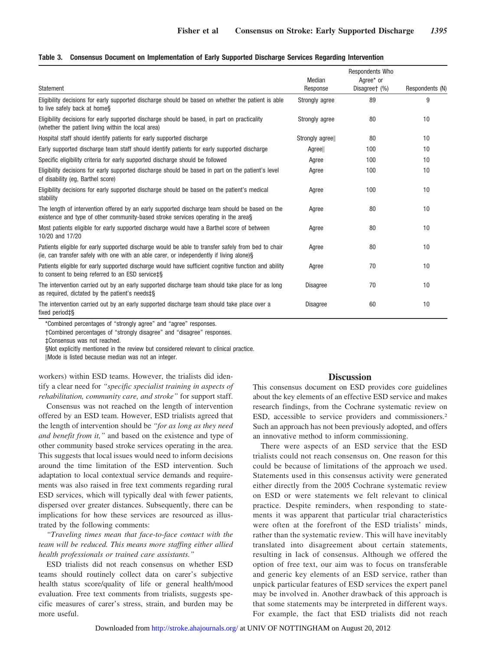|  |  |  | Table 3. Consensus Document on Implementation of Early Supported Discharge Services Regarding Intervention |  |  |  |  |  |  |
|--|--|--|------------------------------------------------------------------------------------------------------------|--|--|--|--|--|--|
|--|--|--|------------------------------------------------------------------------------------------------------------|--|--|--|--|--|--|

| Statement                                                                                                                                                                                      | Median<br>Response | Respondents Who<br>Agree* or<br>Disagreet (%) | Respondents (N) |
|------------------------------------------------------------------------------------------------------------------------------------------------------------------------------------------------|--------------------|-----------------------------------------------|-----------------|
| Eligibility decisions for early supported discharge should be based on whether the patient is able<br>to live safely back at homes                                                             | Strongly agree     | 89                                            | 9               |
| Eligibility decisions for early supported discharge should be based, in part on practicality<br>(whether the patient living within the local area)                                             | Strongly agree     | 80                                            | 10              |
| Hospital staff should identify patients for early supported discharge                                                                                                                          | Strongly agree     | 80                                            | 10              |
| Early supported discharge team staff should identify patients for early supported discharge                                                                                                    | Agree              | 100                                           | 10              |
| Specific eligibility criteria for early supported discharge should be followed                                                                                                                 | Agree              | 100                                           | 10              |
| Eligibility decisions for early supported discharge should be based in part on the patient's level<br>of disability (eq. Barthel score)                                                        | Agree              | 100                                           | 10              |
| Eligibility decisions for early supported discharge should be based on the patient's medical<br>stability                                                                                      | Agree              | 100                                           | 10              |
| The length of intervention offered by an early supported discharge team should be based on the<br>existence and type of other community-based stroke services operating in the areas           | Agree              | 80                                            | 10              |
| Most patients eligible for early supported discharge would have a Barthel score of between<br>10/20 and 17/20                                                                                  | Agree              | 80                                            | 10              |
| Patients eligible for early supported discharge would be able to transfer safely from bed to chair<br>(ie, can transfer safely with one with an able carer, or independently if living alone)§ | Agree              | 80                                            | 10              |
| Patients eligible for early supported discharge would have sufficient cognitive function and ability<br>to consent to being referred to an ESD service‡§                                       | Agree              | 70                                            | 10              |
| The intervention carried out by an early supported discharge team should take place for as long<br>as required, dictated by the patient's needs <sup>t§</sup>                                  | <b>Disagree</b>    | 70                                            | 10              |
| The intervention carried out by an early supported discharge team should take place over a<br>fixed period‡§                                                                                   | <b>Disagree</b>    | 60                                            | 10              |

\*Combined percentages of "strongly agree" and "agree" responses.

†Combined percentages of "strongly disagree" and "disagree" responses.

‡Consensus was not reached.

§Not explicitly mentioned in the review but considered relevant to clinical practice.

-Mode is listed because median was not an integer.

workers) within ESD teams. However, the trialists did identify a clear need for *"specific specialist training in aspects of rehabilitation, community care, and stroke"* for support staff.

Consensus was not reached on the length of intervention offered by an ESD team. However, ESD trialists agreed that the length of intervention should be *"for as long as they need and benefit from it,"* and based on the existence and type of other community based stroke services operating in the area. This suggests that local issues would need to inform decisions around the time limitation of the ESD intervention. Such adaptation to local contextual service demands and requirements was also raised in free text comments regarding rural ESD services, which will typically deal with fewer patients, dispersed over greater distances. Subsequently, there can be implications for how these services are resourced as illustrated by the following comments:

*"Traveling times mean that face-to-face contact with the team will be reduced. This means more staffing either allied health professionals or trained care assistants."*

ESD trialists did not reach consensus on whether ESD teams should routinely collect data on carer's subjective health status score/quality of life or general health/mood evaluation. Free text comments from trialists, suggests specific measures of carer's stress, strain, and burden may be more useful.

#### **Discussion**

This consensus document on ESD provides core guidelines about the key elements of an effective ESD service and makes research findings, from the Cochrane systematic review on ESD, accessible to service providers and commissioners.2 Such an approach has not been previously adopted, and offers an innovative method to inform commissioning.

There were aspects of an ESD service that the ESD trialists could not reach consensus on. One reason for this could be because of limitations of the approach we used. Statements used in this consensus activity were generated either directly from the 2005 Cochrane systematic review on ESD or were statements we felt relevant to clinical practice. Despite reminders, when responding to statements it was apparent that particular trial characteristics were often at the forefront of the ESD trialists' minds, rather than the systematic review. This will have inevitably translated into disagreement about certain statements, resulting in lack of consensus. Although we offered the option of free text, our aim was to focus on transferable and generic key elements of an ESD service, rather than unpick particular features of ESD services the expert panel may be involved in. Another drawback of this approach is that some statements may be interpreted in different ways. For example, the fact that ESD trialists did not reach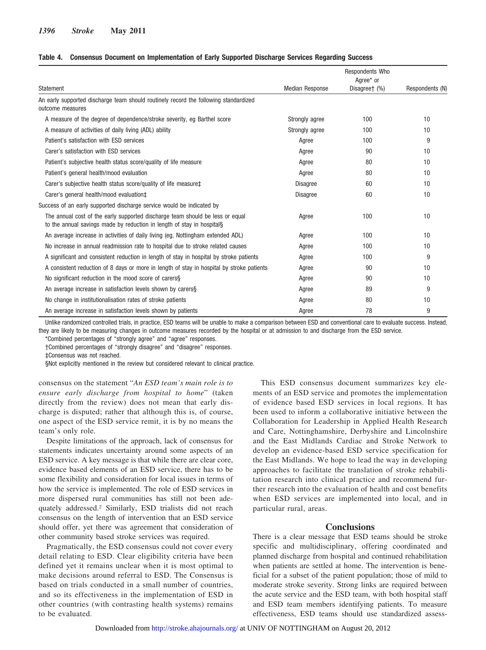#### **Table 4. Consensus Document on Implementation of Early Supported Discharge Services Regarding Success**

|                                                                                                                                                         |                        | Respondents Who            |                 |
|---------------------------------------------------------------------------------------------------------------------------------------------------------|------------------------|----------------------------|-----------------|
| Statement                                                                                                                                               | <b>Median Response</b> | Agree* or<br>Disagreet (%) | Respondents (N) |
| An early supported discharge team should routinely record the following standardized<br>outcome measures                                                |                        |                            |                 |
| A measure of the degree of dependence/stroke severity, eg Barthel score                                                                                 | Strongly agree         | 100                        | 10              |
| A measure of activities of daily living (ADL) ability                                                                                                   | Strongly agree         | 100                        | 10              |
| Patient's satisfaction with ESD services                                                                                                                | Agree                  | 100                        | 9               |
| Carer's satisfaction with ESD services                                                                                                                  | Agree                  | 90                         | 10              |
| Patient's subjective health status score/quality of life measure                                                                                        | Agree                  | 80                         | 10              |
| Patient's general health/mood evaluation                                                                                                                | Agree                  | 80                         | 10              |
| Carer's subjective health status score/quality of life measure‡                                                                                         | <b>Disagree</b>        | 60                         | 10              |
| Carer's general health/mood evaluation‡                                                                                                                 | <b>Disagree</b>        | 60                         | 10              |
| Success of an early supported discharge service would be indicated by                                                                                   |                        |                            |                 |
| The annual cost of the early supported discharge team should be less or equal<br>to the annual savings made by reduction in length of stay in hospitals | Agree                  | 100                        | 10              |
| An average increase in activities of daily living (eg, Nottingham extended ADL)                                                                         | Agree                  | 100                        | 10              |
| No increase in annual readmission rate to hospital due to stroke related causes                                                                         | Agree                  | 100                        | 10              |
| A significant and consistent reduction in length of stay in hospital by stroke patients                                                                 | Agree                  | 100                        | 9               |
| A consistent reduction of 8 days or more in length of stay in hospital by stroke patients                                                               | Agree                  | 90                         | 10              |
| No significant reduction in the mood score of carerss                                                                                                   | Agree                  | 90                         | 10              |
| An average increase in satisfaction levels shown by carerss                                                                                             | Agree                  | 89                         | 9               |
| No change in institutionalisation rates of stroke patients                                                                                              | Agree                  | 80                         | 10              |
| An average increase in satisfaction levels shown by patients                                                                                            | Agree                  | 78                         | 9               |

Unlike randomized controlled trials, in practice, ESD teams will be unable to make a comparison between ESD and conventional care to evaluate success. Instead, they are likely to be measuring changes in outcome measures recorded by the hospital or at admission to and discharge from the ESD service.

\*Combined percentages of "strongly agree" and "agree" responses.

†Combined percentages of "strongly disagree" and "disagree" responses.

‡Consensus was not reached.

§Not explicitly mentioned in the review but considered relevant to clinical practice.

consensus on the statement "*An ESD team's main role is to ensure early discharge from hospital to home*" (taken directly from the review) does not mean that early discharge is disputed; rather that although this is, of course, one aspect of the ESD service remit, it is by no means the team's only role.

Despite limitations of the approach, lack of consensus for statements indicates uncertainty around some aspects of an ESD service. A key message is that while there are clear core, evidence based elements of an ESD service, there has to be some flexibility and consideration for local issues in terms of how the service is implemented. The role of ESD services in more dispersed rural communities has still not been adequately addressed.2 Similarly, ESD trialists did not reach consensus on the length of intervention that an ESD service should offer, yet there was agreement that consideration of other community based stroke services was required.

Pragmatically, the ESD consensus could not cover every detail relating to ESD. Clear eligibility criteria have been defined yet it remains unclear when it is most optimal to make decisions around referral to ESD. The Consensus is based on trials conducted in a small number of countries, and so its effectiveness in the implementation of ESD in other countries (with contrasting health systems) remains to be evaluated.

This ESD consensus document summarizes key elements of an ESD service and promotes the implementation of evidence based ESD services in local regions. It has been used to inform a collaborative initiative between the Collaboration for Leadership in Applied Health Research and Care, Nottinghamshire, Derbyshire and Lincolnshire and the East Midlands Cardiac and Stroke Network to develop an evidence-based ESD service specification for the East Midlands. We hope to lead the way in developing approaches to facilitate the translation of stroke rehabilitation research into clinical practice and recommend further research into the evaluation of health and cost benefits when ESD services are implemented into local, and in particular rural, areas.

# **Conclusions**

There is a clear message that ESD teams should be stroke specific and multidisciplinary, offering coordinated and planned discharge from hospital and continued rehabilitation when patients are settled at home. The intervention is beneficial for a subset of the patient population; those of mild to moderate stroke severity. Strong links are required between the acute service and the ESD team, with both hospital staff and ESD team members identifying patients. To measure effectiveness, ESD teams should use standardized assess